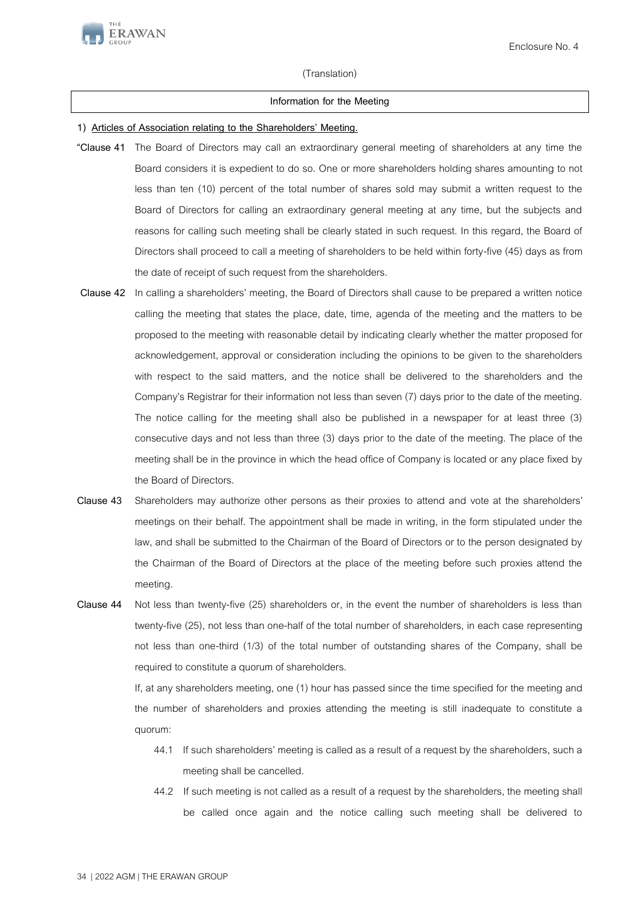

## (Translation)

## **Information for the Meeting**

## **1) Articles of Association relating to the Shareholders' Meeting.**

- **"Clause 41** The Board of Directors may call an extraordinary general meeting of shareholders at any time the Board considers it is expedient to do so. One or more shareholders holding shares amounting to not less than ten (10) percent of the total number of shares sold may submit a written request to the Board of Directors for calling an extraordinary general meeting at any time, but the subjects and reasons for calling such meeting shall be clearly stated in such request. In this regard, the Board of Directors shall proceed to call a meeting of shareholders to be held within forty-five (45) days as from the date of receipt of such request from the shareholders.
- **Clause 42** In calling a shareholders' meeting, the Board of Directors shall cause to be prepared a written notice calling the meeting that states the place, date, time, agenda of the meeting and the matters to be proposed to the meeting with reasonable detail by indicating clearly whether the matter proposed for acknowledgement, approval or consideration including the opinions to be given to the shareholders with respect to the said matters, and the notice shall be delivered to the shareholders and the Company's Registrar for their information not less than seven (7) days prior to the date of the meeting. The notice calling for the meeting shall also be published in a newspaper for at least three (3) consecutive days and not less than three (3) days prior to the date of the meeting. The place of the meeting shall be in the province in which the head office of Company is located or any place fixed by the Board of Directors.
- **Clause 43** Shareholders may authorize other persons as their proxies to attend and vote at the shareholders' meetings on their behalf. The appointment shall be made in writing, in the form stipulated under the law, and shall be submitted to the Chairman of the Board of Directors or to the person designated by the Chairman of the Board of Directors at the place of the meeting before such proxies attend the meeting.
- **Clause 44** Not less than twenty-five (25) shareholders or, in the event the number of shareholders is less than twenty-five (25), not less than one-half of the total number of shareholders, in each case representing not less than one-third (1/3) of the total number of outstanding shares of the Company, shall be required to constitute a quorum of shareholders.

If, at any shareholders meeting, one (1) hour has passed since the time specified for the meeting and the number of shareholders and proxies attending the meeting is still inadequate to constitute a quorum:

- 44.1 If such shareholders' meeting is called as a result of a request by the shareholders, such a meeting shall be cancelled.
- 44.2 If such meeting is not called as a result of a request by the shareholders, the meeting shall be called once again and the notice calling such meeting shall be delivered to